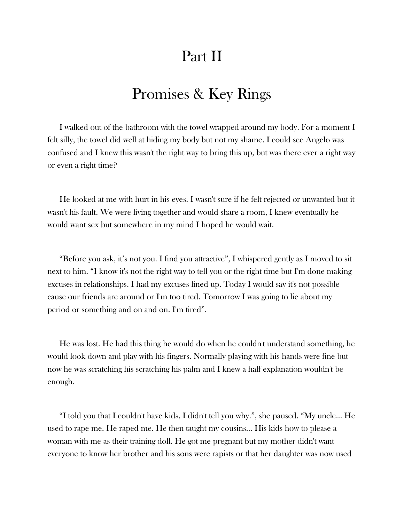## Part II

## Promises & Key Rings

I walked out of the bathroom with the towel wrapped around my body. For a moment I felt silly, the towel did well at hiding my body but not my shame. I could see Angelo was confused and I knew this wasn't the right way to bring this up, but was there ever a right way or even a right time?

He looked at me with hurt in his eyes. I wasn't sure if he felt rejected or unwanted but it wasn't his fault. We were living together and would share a room, I knew eventually he would want sex but somewhere in my mind I hoped he would wait.

"Before you ask, it's not you. I find you attractive", I whispered gently as I moved to sit next to him. "I know it's not the right way to tell you or the right time but I'm done making excuses in relationships. I had my excuses lined up. Today I would say it's not possible cause our friends are around or I'm too tired. Tomorrow I was going to lie about my period or something and on and on. I'm tired".

He was lost. He had this thing he would do when he couldn't understand something, he would look down and play with his fingers. Normally playing with his hands were fine but now he was scratching his scratching his palm and I knew a half explanation wouldn't be enough.

"I told you that I couldn't have kids, I didn't tell you why.", she paused. "My uncle… He used to rape me. He raped me. He then taught my cousins… His kids how to please a woman with me as their training doll. He got me pregnant but my mother didn't want everyone to know her brother and his sons were rapists or that her daughter was now used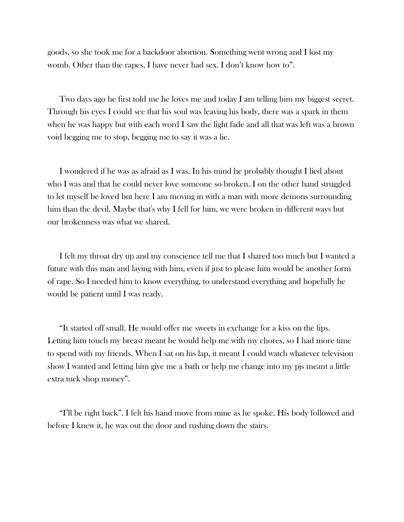goods, so she took me for a backdoor abortion. Something went wrong and I lost my womb. Other than the rapes, I have never had sex. I don't know how to".

Two days ago he first told me he loves me and today I am telling him my biggest secret. Through his eyes I could see that his soul was leaving his body, there was a spark in them when he was happy but with each word I saw the light fade and all that was left was a brown void begging me to stop, begging me to say it was a lie.

I wondered if he was as afraid as I was. In his mind he probably thought I lied about who I was and that he could never love someone so broken. I on the other hand struggled to let myself be loved but here I am moving in with a man with more demons surrounding him than the devil. Maybe that's why I fell for him, we were broken in different ways but our brokenness was what we shared.

I felt my throat dry up and my conscience tell me that I shared too much but I wanted a future with this man and laying with him, even if just to please him would be another form of rape. So I needed him to know everything, to understand everything and hopefully he would be patient until I was ready.

"It started off small. He would offer me sweets in exchange for a kiss on the lips. Letting him touch my breast meant he would help me with my chores, so I had more time to spend with my friends. When I sat on his lap, it meant I could watch whatever television show I wanted and letting him give me a bath or help me change into my pjs meant a little extra tuck shop money".

"I'll be right back". I felt his hand move from mine as he spoke. His body followed and before I knew it, he was out the door and rushing down the stairs.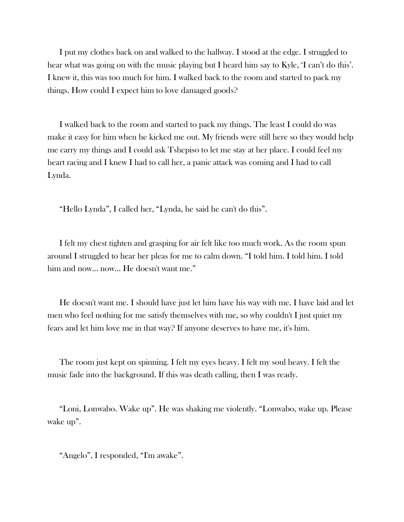I put my clothes back on and walked to the hallway. I stood at the edge. I struggled to hear what was going on with the music playing but I heard him say to Kyle, 'I can't do this'. I knew it, this was too much for him. I walked back to the room and started to pack my things. How could I expect him to love damaged goods?

I walked back to the room and started to pack my things. The least I could do was make it easy for him when he kicked me out. My friends were still here so they would help me carry my things and I could ask Tshepiso to let me stay at her place. I could feel my heart racing and I knew I had to call her, a panic attack was coming and I had to call Lynda.

"Hello Lynda", I called her, "Lynda, he said he can't do this".

I felt my chest tighten and grasping for air felt like too much work. As the room spun around I struggled to hear her pleas for me to calm down. "I told him. I told him. I told him and now… now… He doesn't want me."

He doesn't want me. I should have just let him have his way with me. I have laid and let men who feel nothing for me satisfy themselves with me, so why couldn't I just quiet my fears and let him love me in that way? If anyone deserves to have me, it's him.

The room just kept on spinning. I felt my eyes heavy. I felt my soul heavy. I felt the music fade into the background. If this was death calling, then I was ready.

"Loni, Lonwabo. Wake up". He was shaking me violently. "Lonwabo, wake up. Please wake up".

"Angelo", I responded, "I'm awake".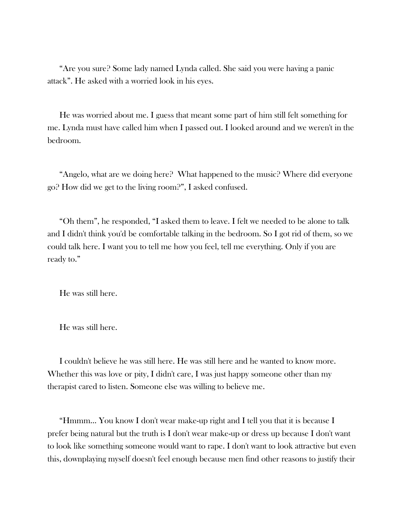"Are you sure? Some lady named Lynda called. She said you were having a panic attack". He asked with a worried look in his eyes.

He was worried about me. I guess that meant some part of him still felt something for me. Lynda must have called him when I passed out. I looked around and we weren't in the bedroom.

"Angelo, what are we doing here? What happened to the music? Where did everyone go? How did we get to the living room?", I asked confused.

"Oh them", he responded, "I asked them to leave. I felt we needed to be alone to talk and I didn't think you'd be comfortable talking in the bedroom. So I got rid of them, so we could talk here. I want you to tell me how you feel, tell me everything. Only if you are ready to."

He was still here.

He was still here.

I couldn't believe he was still here. He was still here and he wanted to know more. Whether this was love or pity, I didn't care, I was just happy someone other than my therapist cared to listen. Someone else was willing to believe me.

"Hmmm… You know I don't wear make-up right and I tell you that it is because I prefer being natural but the truth is I don't wear make-up or dress up because I don't want to look like something someone would want to rape. I don't want to look attractive but even this, downplaying myself doesn't feel enough because men find other reasons to justify their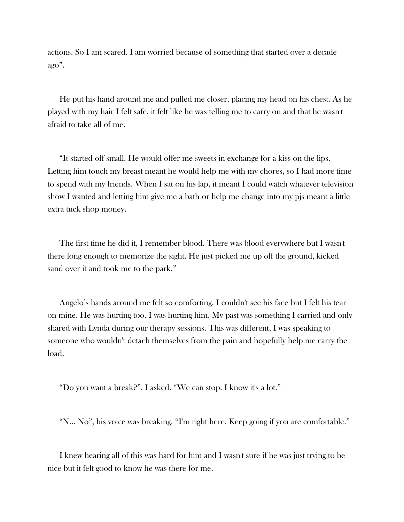actions. So I am scared. I am worried because of something that started over a decade ago".

He put his hand around me and pulled me closer, placing my head on his chest. As he played with my hair I felt safe, it felt like he was telling me to carry on and that he wasn't afraid to take all of me.

"It started off small. He would offer me sweets in exchange for a kiss on the lips. Letting him touch my breast meant he would help me with my chores, so I had more time to spend with my friends. When I sat on his lap, it meant I could watch whatever television show I wanted and letting him give me a bath or help me change into my pjs meant a little extra tuck shop money.

The first time he did it, I remember blood. There was blood everywhere but I wasn't there long enough to memorize the sight. He just picked me up off the ground, kicked sand over it and took me to the park."

Angelo's hands around me felt so comforting. I couldn't see his face but I felt his tear on mine. He was hurting too. I was hurting him. My past was something I carried and only shared with Lynda during our therapy sessions. This was different, I was speaking to someone who wouldn't detach themselves from the pain and hopefully help me carry the load.

"Do you want a break?", I asked. "We can stop. I know it's a lot."

"N… No", his voice was breaking. "I'm right here. Keep going if you are comfortable."

I knew hearing all of this was hard for him and I wasn't sure if he was just trying to be nice but it felt good to know he was there for me.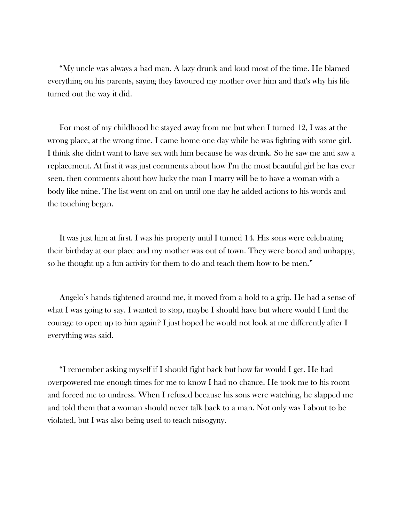"My uncle was always a bad man. A lazy drunk and loud most of the time. He blamed everything on his parents, saying they favoured my mother over him and that's why his life turned out the way it did.

For most of my childhood he stayed away from me but when I turned 12, I was at the wrong place, at the wrong time. I came home one day while he was fighting with some girl. I think she didn't want to have sex with him because he was drunk. So he saw me and saw a replacement. At first it was just comments about how I'm the most beautiful girl he has ever seen, then comments about how lucky the man I marry will be to have a woman with a body like mine. The list went on and on until one day he added actions to his words and the touching began.

It was just him at first. I was his property until I turned 14. His sons were celebrating their birthday at our place and my mother was out of town. They were bored and unhappy, so he thought up a fun activity for them to do and teach them how to be men."

Angelo's hands tightened around me, it moved from a hold to a grip. He had a sense of what I was going to say. I wanted to stop, maybe I should have but where would I find the courage to open up to him again? I just hoped he would not look at me differently after I everything was said.

"I remember asking myself if I should fight back but how far would I get. He had overpowered me enough times for me to know I had no chance. He took me to his room and forced me to undress. When I refused because his sons were watching, he slapped me and told them that a woman should never talk back to a man. Not only was I about to be violated, but I was also being used to teach misogyny.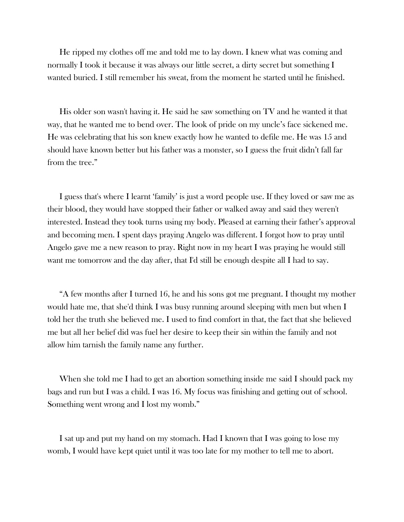He ripped my clothes off me and told me to lay down. I knew what was coming and normally I took it because it was always our little secret, a dirty secret but something I wanted buried. I still remember his sweat, from the moment he started until he finished.

His older son wasn't having it. He said he saw something on TV and he wanted it that way, that he wanted me to bend over. The look of pride on my uncle's face sickened me. He was celebrating that his son knew exactly how he wanted to defile me. He was 15 and should have known better but his father was a monster, so I guess the fruit didn't fall far from the tree."

I guess that's where I learnt 'family' is just a word people use. If they loved or saw me as their blood, they would have stopped their father or walked away and said they weren't interested. Instead they took turns using my body. Pleased at earning their father's approval and becoming men. I spent days praying Angelo was different. I forgot how to pray until Angelo gave me a new reason to pray. Right now in my heart I was praying he would still want me tomorrow and the day after, that I'd still be enough despite all I had to say.

"A few months after I turned 16, he and his sons got me pregnant. I thought my mother would hate me, that she'd think I was busy running around sleeping with men but when I told her the truth she believed me. I used to find comfort in that, the fact that she believed me but all her belief did was fuel her desire to keep their sin within the family and not allow him tarnish the family name any further.

When she told me I had to get an abortion something inside me said I should pack my bags and run but I was a child. I was 16. My focus was finishing and getting out of school. Something went wrong and I lost my womb."

I sat up and put my hand on my stomach. Had I known that I was going to lose my womb, I would have kept quiet until it was too late for my mother to tell me to abort.